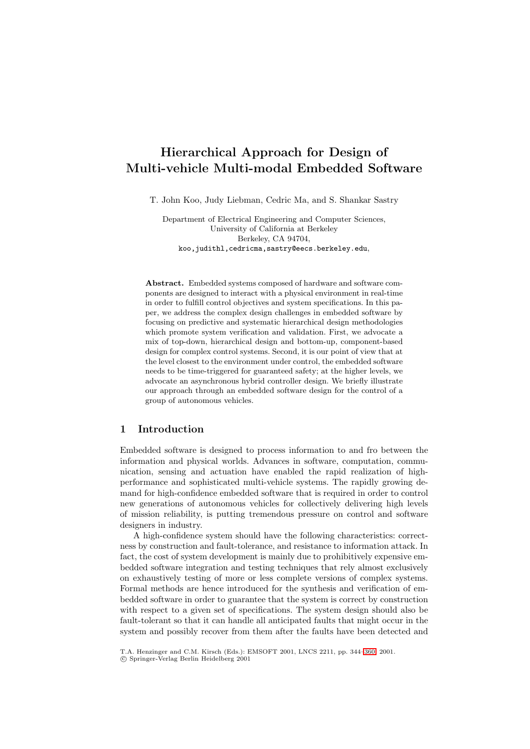# **Hierarchical Approach for Design of Multi-vehicle Multi-modal Embedded Software**

T. John Koo, Judy Liebman, Cedric Ma, and S. Shankar Sastry

Department of Electrical Engineering and Computer Sciences, University of California at Berkeley Berkeley, CA 94704, koo,judithl,cedricma,sastry@eecs.berkeley.edu,

**Abstract.** Embedded systems composed of hardware and software components are designed to interact with a physical environment in real-time in order to fulfill control objectives and system specifications. In this paper, we address the complex design challenges in embedded software by focusing on predictive and systematic hierarchical design methodologies which promote system verification and validation. First, we advocate a mix of top-down, hierarchical design and bottom-up, component-based design for complex control systems. Second, it is our point of view that at the level closest to the environment under control, the embedded software needs to be time-triggered for guaranteed safety; at the higher levels, we advocate an asynchronous hybrid controller design. We briefly illustrate our approach through an embedded software design for the control of a group of autonomous vehicles.

### **1 Introduction**

Embedded software is designed to process information to and fro between the information and physical worlds. Advances in software, computation, communication, sensing and actuation have enabled the rapid realization of highperformance and sophisticated multi-vehicle systems. The rapidly growing demand for high-confidence embedded software that is required in order to control new generations of autonomous vehicles for collectively delivering high levels of mission reliability, is putting tremendous pressure on control and software designers in industry.

Ahigh-confidence system should have the following characteristics: correctness by construction and fault-tolerance, and resistance to information attack. In fact, the cost of system development is mainly due to prohibitively expensive embedded software integration and testing techniques that rely almost exclusively on exhaustively testing of more or less complete versions of complex systems. Formal methods are hence introduced for the synthesis and verification of embedded software in order to guarantee that the system is correct by construction with respect to a given set of specifications. The system design should also be fault-tolerant so that it can handle all anticipated faults that might occur in the system and possibly recover from them after the faults have been detected and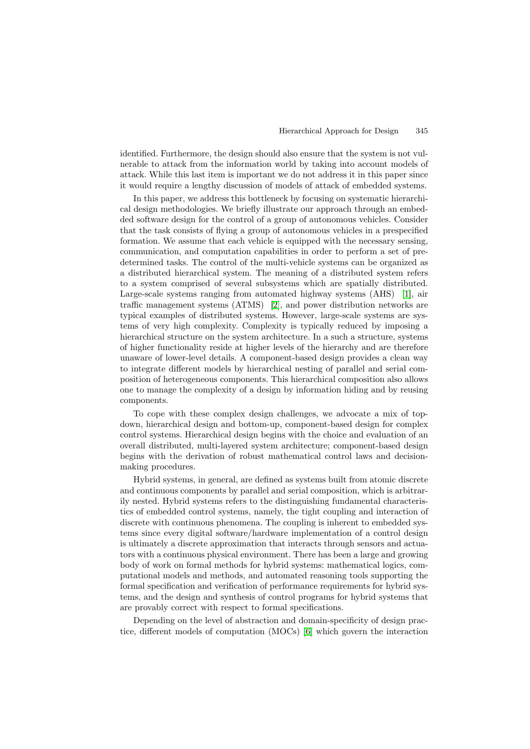identified. Furthermore, the design should also ensure that the system is not vulnerable to attack from the information world by taking into account models of attack. While this last item is important we do not address it in this paper since it would require a lengthy discussion of models of attack of embedded systems.

In this paper, we address this bottleneck by focusing on systematic hierarchical design methodologies. We briefly illustrate our approach through an embedded software design for the control of a group of autonomous vehicles. Consider that the task consists of flying a group of autonomous vehicles in a prespecified formation. We assume that each vehicle is equipped with the necessary sensing, communication, and computation capabilities in order to perform a set of predetermined tasks. The control of the multi-vehicle systems can be organized as a distributed hierarchical system. The meaning of a distributed system refers to a system comprised of several subsystems which are spatially distributed. Large-scale systems ranging from automated highway systems (AHS) [\[1\]](#page-14-0), air traffic management systems (ATMS) [\[2\]](#page-14-0), and power distribution networks are typical examples of distributed systems. However, large-scale systems are systems of very high complexity. Complexity is typically reduced by imposing a hierarchical structure on the system architecture. In a such a structure, systems of higher functionality reside at higher levels of the hierarchy and are therefore unaware of lower-level details. Acomponent-based design provides a clean way to integrate different models by hierarchical nesting of parallel and serial composition of heterogeneous components. This hierarchical composition also allows one to manage the complexity of a design by information hiding and by reusing components.

To cope with these complex design challenges, we advocate a mix of topdown, hierarchical design and bottom-up, component-based design for complex control systems. Hierarchical design begins with the choice and evaluation of an overall distributed, multi-layered system architecture; component-based design begins with the derivation of robust mathematical control laws and decisionmaking procedures.

Hybrid systems, in general, are defined as systems built from atomic discrete and continuous components by parallel and serial composition, which is arbitrarily nested. Hybrid systems refers to the distinguishing fundamental characteristics of embedded control systems, namely, the tight coupling and interaction of discrete with continuous phenomena. The coupling is inherent to embedded systems since every digital software/hardware implementation of a control design is ultimately a discrete approximation that interacts through sensors and actuators with a continuous physical environment. There has been a large and growing body of work on formal methods for hybrid systems: mathematical logics, computational models and methods, and automated reasoning tools supporting the formal specification and verification of performance requirements for hybrid systems, and the design and synthesis of control programs for hybrid systems that are provably correct with respect to formal specifications.

Depending on the level of abstraction and domain-specificity of design practice, different models of computation (MOCs) [\[6\]](#page-15-0) which govern the interaction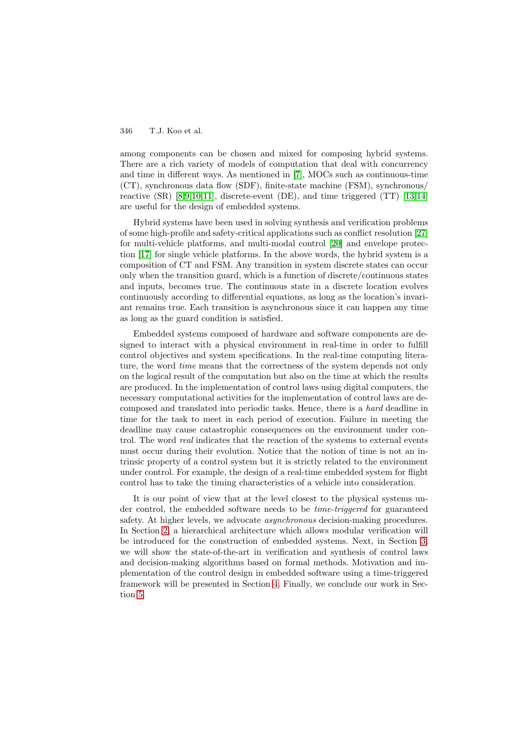among components can be chosen and mixed for composing hybrid systems. There are a rich variety of models of computation that deal with concurrency and time in different ways. As mentioned in [\[7\]](#page-15-0), MOCs such as continuous-time (CT), synchronous data flow (SDF), finite-state machine (FSM), synchronous/ reactive (SR) [\[8,9,10,11\]](#page-15-0), discrete-event (DE), and time triggered (TT) [\[13,14\]](#page-15-0) are useful for the design of embedded systems.

Hybrid systems have been used in solving synthesis and verification problems of some high-profile and safety-critical applications such as conflict resolution [\[27\]](#page-16-0) for multi-vehicle platforms, and multi-modal control [\[20\]](#page-15-0) and envelope protection [\[17\]](#page-15-0) for single vehicle platforms. In the above words, the hybrid system is a composition of CT and FSM. Any transition in system discrete states can occur only when the transition guard, which is a function of discrete/continuous states and inputs, becomes true. The continuous state in a discrete location evolves continuously according to differential equations, as long as the location's invariant remains true. Each transition is asynchronous since it can happen any time as long as the guard condition is satisfied.

Embedded systems composed of hardware and software components are designed to interact with a physical environment in real-time in order to fulfill control objectives and system specifications. In the real-time computing literature, the word *time* means that the correctness of the system depends not only on the logical result of the computation but also on the time at which the results are produced. In the implementation of control laws using digital computers, the necessary computational activities for the implementation of control laws are decomposed and translated into periodic tasks. Hence, there is a hard deadline in time for the task to meet in each period of execution. Failure in meeting the deadline may cause catastrophic consequences on the environment under control. The word real indicates that the reaction of the systems to external events must occur during their evolution. Notice that the notion of time is not an intrinsic property of a control system but it is strictly related to the environment under control. For example, the design of a real-time embedded system for flight control has to take the timing characteristics of a vehicle into consideration.

It is our point of view that at the level closest to the physical systems under control, the embedded software needs to be time-triggered for guaranteed safety. At higher levels, we advocate *asynchronous* decision-making procedures. In Section 2, a hierarchical architecture which allows modular verification will be introduced for the construction of embedded systems. Next, in Section [3,](#page-6-0) we will show the state-of-the-art in verification and synthesis of control laws and decision-making algorithms based on formal methods. Motivation and implementation of the control design in embedded software using a time-triggered framework will be presented in Section [4.](#page-9-0) Finally, we conclude our work in Section [5.](#page-14-0)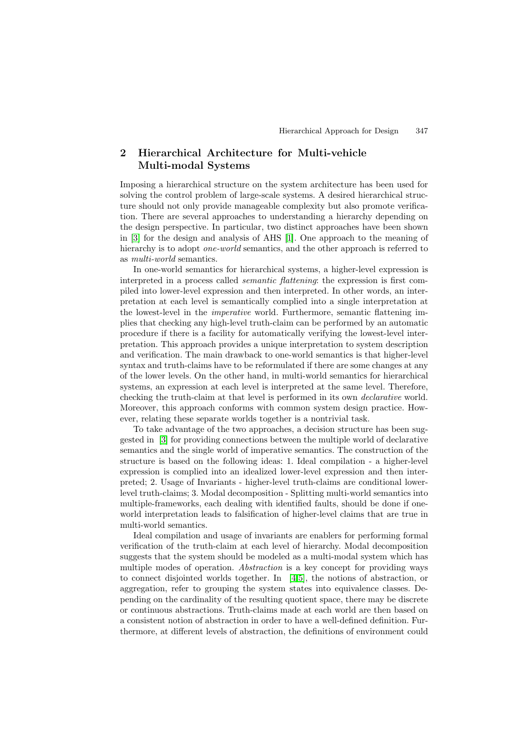## **2 Hierarchical Architecture for Multi-vehicle Multi-modal Systems**

Imposing a hierarchical structure on the system architecture has been used for solving the control problem of large-scale systems. A desired hierarchical structure should not only provide manageable complexity but also promote verification. There are several approaches to understanding a hierarchy depending on the design perspective. In particular, two distinct approaches have been shown in [\[3\]](#page-14-0) for the design and analysis of AHS [\[1\]](#page-14-0). One approach to the meaning of hierarchy is to adopt *one-world* semantics, and the other approach is referred to as multi-world semantics.

In one-world semantics for hierarchical systems, a higher-level expression is interpreted in a process called semantic flattening: the expression is first compiled into lower-level expression and then interpreted. In other words, an interpretation at each level is semantically complied into a single interpretation at the lowest-level in the imperative world. Furthermore, semantic flattening implies that checking any high-level truth-claim can be performed by an automatic procedure if there is a facility for automatically verifying the lowest-level interpretation. This approach provides a unique interpretation to system description and verification. The main drawback to one-world semantics is that higher-level syntax and truth-claims have to be reformulated if there are some changes at any of the lower levels. On the other hand, in multi-world semantics for hierarchical systems, an expression at each level is interpreted at the same level. Therefore, checking the truth-claim at that level is performed in its own declarative world. Moreover, this approach conforms with common system design practice. However, relating these separate worlds together is a nontrivial task.

To take advantage of the two approaches, a decision structure has been suggested in [\[3\]](#page-14-0) for providing connections between the multiple world of declarative semantics and the single world of imperative semantics. The construction of the structure is based on the following ideas: 1. Ideal compilation - a higher-level expression is complied into an idealized lower-level expression and then interpreted; 2. Usage of Invariants - higher-level truth-claims are conditional lowerlevel truth-claims; 3. Modal decomposition - Splitting multi-world semantics into multiple-frameworks, each dealing with identified faults, should be done if oneworld interpretation leads to falsification of higher-level claims that are true in multi-world semantics.

Ideal compilation and usage of invariants are enablers for performing formal verification of the truth-claim at each level of hierarchy. Modal decomposition suggests that the system should be modeled as a multi-modal system which has multiple modes of operation. Abstraction is a key concept for providing ways to connect disjointed worlds together. In [\[4](#page-14-0)[,5\]](#page-15-0), the notions of abstraction, or aggregation, refer to grouping the system states into equivalence classes. Depending on the cardinality of the resulting quotient space, there may be discrete or continuous abstractions. Truth-claims made at each world are then based on a consistent notion of abstraction in order to have a well-defined definition. Furthermore, at different levels of abstraction, the definitions of environment could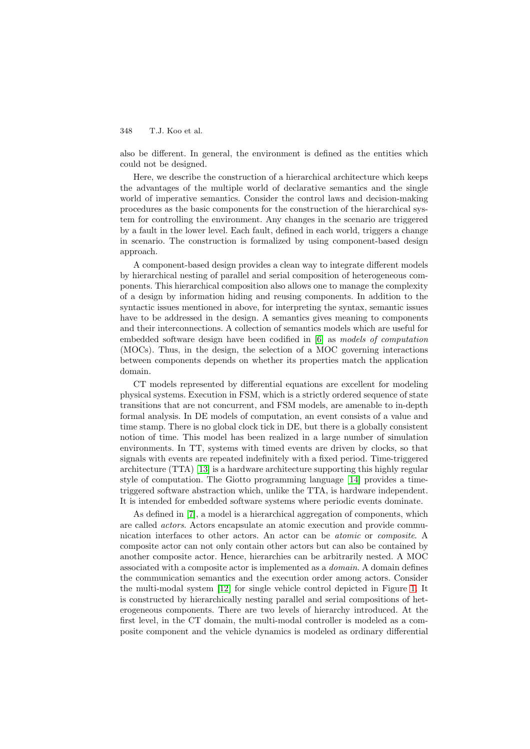also be different. In general, the environment is defined as the entities which could not be designed.

Here, we describe the construction of a hierarchical architecture which keeps the advantages of the multiple world of declarative semantics and the single world of imperative semantics. Consider the control laws and decision-making procedures as the basic components for the construction of the hierarchical system for controlling the environment. Any changes in the scenario are triggered by a fault in the lower level. Each fault, defined in each world, triggers a change in scenario. The construction is formalized by using component-based design approach.

Acomponent-based design provides a clean way to integrate different models by hierarchical nesting of parallel and serial composition of heterogeneous components. This hierarchical composition also allows one to manage the complexity of a design by information hiding and reusing components. In addition to the syntactic issues mentioned in above, for interpreting the syntax, semantic issues have to be addressed in the design. A semantics gives meaning to components and their interconnections. Acollection of semantics models which are useful for embedded software design have been codified in [\[6\]](#page-15-0) as models of computation (MOCs). Thus, in the design, the selection of a MOC governing interactions between components depends on whether its properties match the application domain.

CT models represented by differential equations are excellent for modeling physical systems. Execution in FSM, which is a strictly ordered sequence of state transitions that are not concurrent, and FSM models, are amenable to in-depth formal analysis. In DE models of computation, an event consists of a value and time stamp. There is no global clock tick in DE, but there is a globally consistent notion of time. This model has been realized in a large number of simulation environments. In TT, systems with timed events are driven by clocks, so that signals with events are repeated indefinitely with a fixed period. Time-triggered architecture (TTA) [\[13\]](#page-15-0) is a hardware architecture supporting this highly regular style of computation. The Giotto programming language [\[14\]](#page-15-0) provides a timetriggered software abstraction which, unlike the TTA, is hardware independent. It is intended for embedded software systems where periodic events dominate.

As defined in [\[7\]](#page-15-0), a model is a hierarchical aggregation of components, which are called actors. Actors encapsulate an atomic execution and provide communication interfaces to other actors. An actor can be atomic or composite. A composite actor can not only contain other actors but can also be contained by another composite actor. Hence, hierarchies can be arbitrarily nested. AMOC associated with a composite actor is implemented as a domain. Adomain defines the communication semantics and the execution order among actors. Consider the multi-modal system [\[12\]](#page-15-0) for single vehicle control depicted in Figure [1.](#page-5-0) It is constructed by hierarchically nesting parallel and serial compositions of heterogeneous components. There are two levels of hierarchy introduced. At the first level, in the CT domain, the multi-modal controller is modeled as a composite component and the vehicle dynamics is modeled as ordinary differential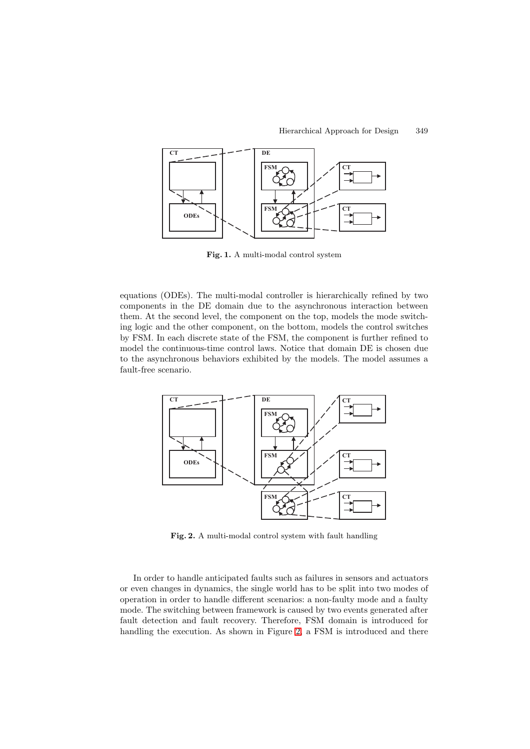<span id="page-5-0"></span>

**Fig. 1.** A multi-modal control system

equations (ODEs). The multi-modal controller is hierarchically refined by two components in the DE domain due to the asynchronous interaction between them. At the second level, the component on the top, models the mode switching logic and the other component, on the bottom, models the control switches by FSM. In each discrete state of the FSM, the component is further refined to model the continuous-time control laws. Notice that domain DE is chosen due to the asynchronous behaviors exhibited by the models. The model assumes a fault-free scenario.



**Fig. 2.** A multi-modal control system with fault handling

In order to handle anticipated faults such as failures in sensors and actuators or even changes in dynamics, the single world has to be split into two modes of operation in order to handle different scenarios: a non-faulty mode and a faulty mode. The switching between framework is caused by two events generated after fault detection and fault recovery. Therefore, FSM domain is introduced for handling the execution. As shown in Figure 2, a FSM is introduced and there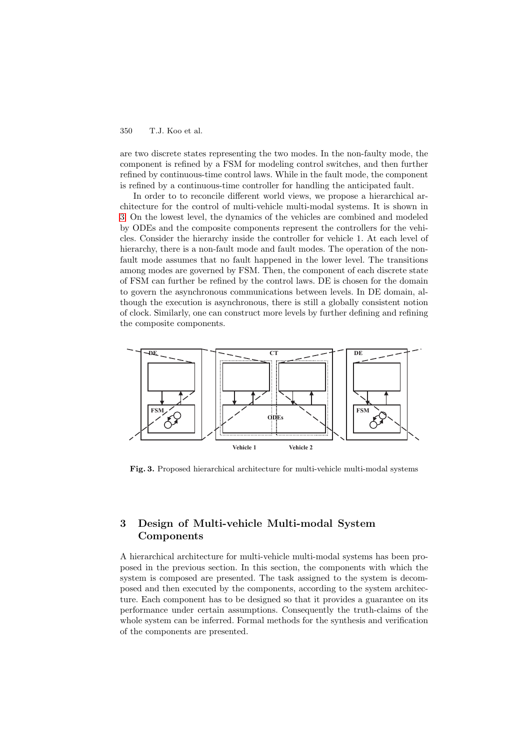<span id="page-6-0"></span>are two discrete states representing the two modes. In the non-faulty mode, the component is refined by a FSM for modeling control switches, and then further refined by continuous-time control laws. While in the fault mode, the component is refined by a continuous-time controller for handling the anticipated fault.

In order to to reconcile different world views, we propose a hierarchical architecture for the control of multi-vehicle multi-modal systems. It is shown in 3. On the lowest level, the dynamics of the vehicles are combined and modeled by ODEs and the composite components represent the controllers for the vehicles. Consider the hierarchy inside the controller for vehicle 1. At each level of hierarchy, there is a non-fault mode and fault modes. The operation of the nonfault mode assumes that no fault happened in the lower level. The transitions among modes are governed by FSM. Then, the component of each discrete state of FSM can further be refined by the control laws. DE is chosen for the domain to govern the asynchronous communications between levels. In DE domain, although the execution is asynchronous, there is still a globally consistent notion of clock. Similarly, one can construct more levels by further defining and refining the composite components.



**Fig. 3.** Proposed hierarchical architecture for multi-vehicle multi-modal systems

## **3Design of Multi-vehicle Multi-modal System Components**

Ahierarchical architecture for multi-vehicle multi-modal systems has been proposed in the previous section. In this section, the components with which the system is composed are presented. The task assigned to the system is decomposed and then executed by the components, according to the system architecture. Each component has to be designed so that it provides a guarantee on its performance under certain assumptions. Consequently the truth-claims of the whole system can be inferred. Formal methods for the synthesis and verification of the components are presented.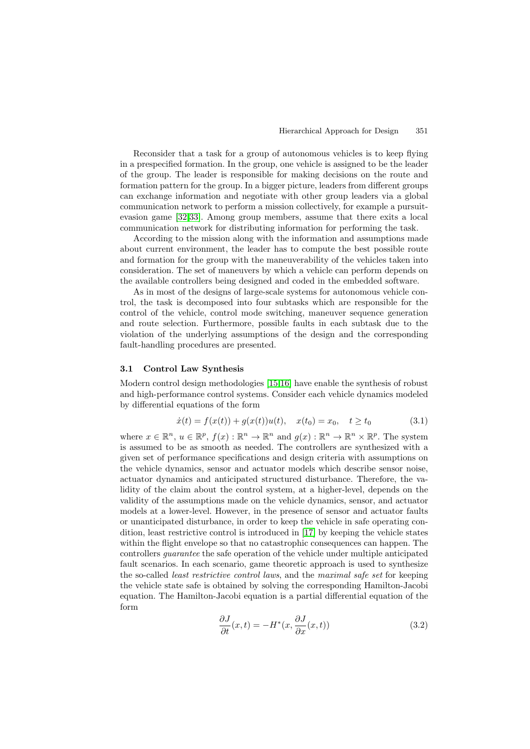<span id="page-7-0"></span>Reconsider that a task for a group of autonomous vehicles is to keep flying in a prespecified formation. In the group, one vehicle is assigned to be the leader of the group. The leader is responsible for making decisions on the route and formation pattern for the group. In a bigger picture, leaders from different groups can exchange information and negotiate with other group leaders via a global communication network to perform a mission collectively, for example a pursuitevasion game [\[32,33\]](#page-16-0). Among group members, assume that there exits a local communication network for distributing information for performing the task.

According to the mission along with the information and assumptions made about current environment, the leader has to compute the best possible route and formation for the group with the maneuverability of the vehicles taken into consideration. The set of maneuvers by which a vehicle can perform depends on the available controllers being designed and coded in the embedded software.

As in most of the designs of large-scale systems for autonomous vehicle control, the task is decomposed into four subtasks which are responsible for the control of the vehicle, control mode switching, maneuver sequence generation and route selection. Furthermore, possible faults in each subtask due to the violation of the underlying assumptions of the design and the corresponding fault-handling procedures are presented.

#### **3.1 Control Law Synthesis**

Modern control design methodologies [\[15,16\]](#page-15-0) have enable the synthesis of robust and high-performance control systems. Consider each vehicle dynamics modeled by differential equations of the form

$$
\dot{x}(t) = f(x(t)) + g(x(t))u(t), \quad x(t_0) = x_0, \quad t \ge t_0
$$
\n(3.1)

where  $x \in \mathbb{R}^n$ ,  $u \in \mathbb{R}^p$ ,  $f(x): \mathbb{R}^n \to \mathbb{R}^n$  and  $g(x): \mathbb{R}^n \to \mathbb{R}^n \times \mathbb{R}^p$ . The system is assumed to be as smooth as needed. The controllers are synthesized with a given set of performance specifications and design criteria with assumptions on the vehicle dynamics, sensor and actuator models which describe sensor noise, actuator dynamics and anticipated structured disturbance. Therefore, the validity of the claim about the control system, at a higher-level, depends on the validity of the assumptions made on the vehicle dynamics, sensor, and actuator models at a lower-level. However, in the presence of sensor and actuator faults or unanticipated disturbance, in order to keep the vehicle in safe operating condition, least restrictive control is introduced in [\[17\]](#page-15-0) by keeping the vehicle states within the flight envelope so that no catastrophic consequences can happen. The controllers guarantee the safe operation of the vehicle under multiple anticipated fault scenarios. In each scenario, game theoretic approach is used to synthesize the so-called least restrictive control laws, and the maximal safe set for keeping the vehicle state safe is obtained by solving the corresponding Hamilton-Jacobi equation. The Hamilton-Jacobi equation is a partial differential equation of the form

$$
\frac{\partial J}{\partial t}(x,t) = -H^*(x, \frac{\partial J}{\partial x}(x,t))\tag{3.2}
$$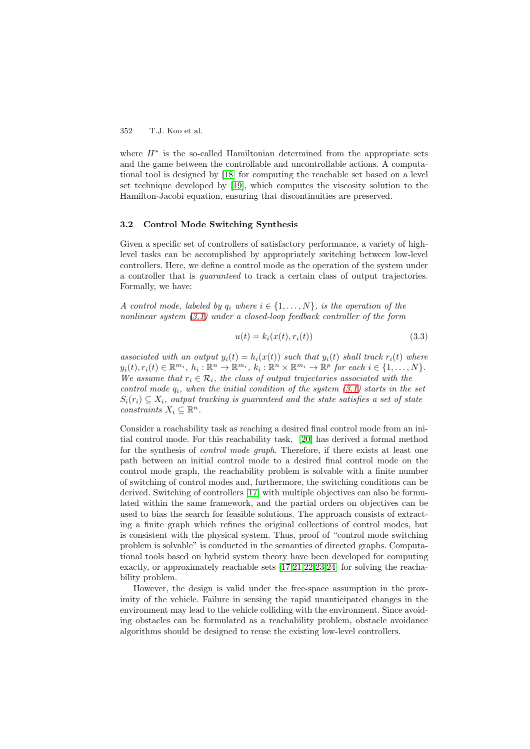where  $H^*$  is the so-called Hamiltonian determined from the appropriate sets and the game between the controllable and uncontrollable actions. Acomputational tool is designed by [\[18\]](#page-15-0) for computing the reachable set based on a level set technique developed by [\[19\]](#page-15-0), which computes the viscosity solution to the Hamilton-Jacobi equation, ensuring that discontinuities are preserved.

### **3.2 Control Mode Switching Synthesis**

Given a specific set of controllers of satisfactory performance, a variety of highlevel tasks can be accomplished by appropriately switching between low-level controllers. Here, we define a control mode as the operation of the system under a controller that is guaranteed to track a certain class of output trajectories. Formally, we have:

A control mode, labeled by  $q_i$  where  $i \in \{1, \ldots, N\}$ , is the operation of the nonlinear system  $(3.1)$  under a closed-loop feedback controller of the form

$$
u(t) = k_i(x(t), r_i(t))
$$
\n
$$
(3.3)
$$

associated with an output  $y_i(t) = h_i(x(t))$  such that  $y_i(t)$  shall track  $r_i(t)$  where  $y_i(t), r_i(t) \in \mathbb{R}^{m_i}, h_i : \mathbb{R}^n \to \mathbb{R}^{m_i}, k_i : \mathbb{R}^n \times \mathbb{R}^{m_i} \to \mathbb{R}^p$  for each  $i \in \{1, ..., N\}.$ We assume that  $r_i \in \mathcal{R}_i$ , the class of output trajectories associated with the control mode  $q_i$ , when the initial condition of the system  $(3.1)$  starts in the set  $S_i(r_i) \subseteq X_i$ , output tracking is guaranteed and the state satisfies a set of state constraints  $X_i \subseteq \mathbb{R}^n$ .

Consider a reachability task as reaching a desired final control mode from an initial control mode. For this reachability task, [\[20\]](#page-15-0) has derived a formal method for the synthesis of control mode graph. Therefore, if there exists at least one path between an initial control mode to a desired final control mode on the control mode graph, the reachability problem is solvable with a finite number of switching of control modes and, furthermore, the switching conditions can be derived. Switching of controllers [\[17\]](#page-15-0) with multiple objectives can also be formulated within the same framework, and the partial orders on objectives can be used to bias the search for feasible solutions. The approach consists of extracting a finite graph which refines the original collections of control modes, but is consistent with the physical system. Thus, proof of "control mode switching problem is solvable" is conducted in the semantics of directed graphs. Computational tools based on hybrid system theory have been developed for computing exactly, or approximately reachable sets [\[17,21,22](#page-15-0)[,23,24\]](#page-16-0) for solving the reachability problem.

However, the design is valid under the free-space assumption in the proximity of the vehicle. Failure in sensing the rapid unanticipated changes in the environment may lead to the vehicle colliding with the environment. Since avoiding obstacles can be formulated as a reachability problem, obstacle avoidance algorithms should be designed to reuse the existing low-level controllers.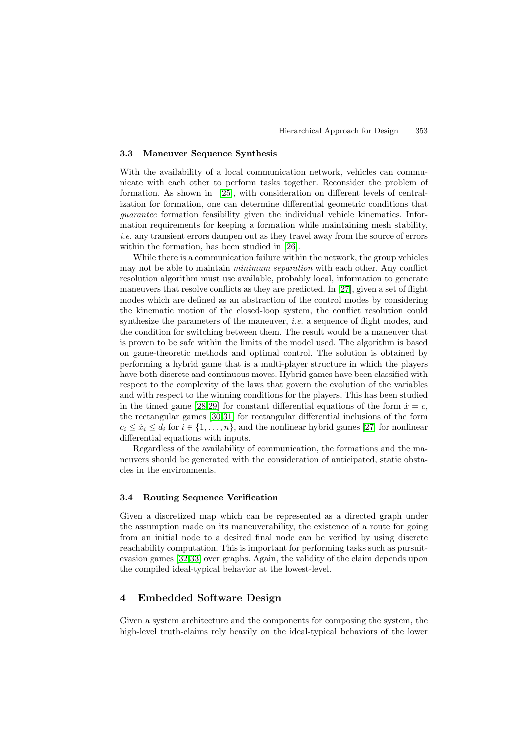#### <span id="page-9-0"></span>**3.3 Maneuver Sequence Synthesis**

With the availability of a local communication network, vehicles can communicate with each other to perform tasks together. Reconsider the problem of formation. As shown in [\[25\]](#page-16-0), with consideration on different levels of centralization for formation, one can determine differential geometric conditions that guarantee formation feasibility given the individual vehicle kinematics. Information requirements for keeping a formation while maintaining mesh stability, i.e. any transient errors dampen out as they travel away from the source of errors within the formation, has been studied in [\[26\]](#page-16-0).

While there is a communication failure within the network, the group vehicles may not be able to maintain *minimum separation* with each other. Any conflict resolution algorithm must use available, probably local, information to generate maneuvers that resolve conflicts as they are predicted. In [\[27\]](#page-16-0), given a set of flight modes which are defined as an abstraction of the control modes by considering the kinematic motion of the closed-loop system, the conflict resolution could synthesize the parameters of the maneuver, *i.e.* a sequence of flight modes, and the condition for switching between them. The result would be a maneuver that is proven to be safe within the limits of the model used. The algorithm is based on game-theoretic methods and optimal control. The solution is obtained by performing a hybrid game that is a multi-player structure in which the players have both discrete and continuous moves. Hybrid games have been classified with respect to the complexity of the laws that govern the evolution of the variables and with respect to the winning conditions for the players. This has been studied in the timed game [\[28,29\]](#page-16-0) for constant differential equations of the form  $\dot{x} = c$ , the rectangular games [\[30,31\]](#page-16-0) for rectangular differential inclusions of the form  $c_i \leq \dot{x}_i \leq d_i$  for  $i \in \{1, \ldots, n\}$ , and the nonlinear hybrid games [\[27\]](#page-16-0) for nonlinear differential equations with inputs.

Regardless of the availability of communication, the formations and the maneuvers should be generated with the consideration of anticipated, static obstacles in the environments.

#### **3.4 Routing Sequence Verification**

Given a discretized map which can be represented as a directed graph under the assumption made on its maneuverability, the existence of a route for going from an initial node to a desired final node can be verified by using discrete reachability computation. This is important for performing tasks such as pursuitevasion games [\[32,33\]](#page-16-0) over graphs. Again, the validity of the claim depends upon the compiled ideal-typical behavior at the lowest-level.

### **4 Embedded Software Design**

Given a system architecture and the components for composing the system, the high-level truth-claims rely heavily on the ideal-typical behaviors of the lower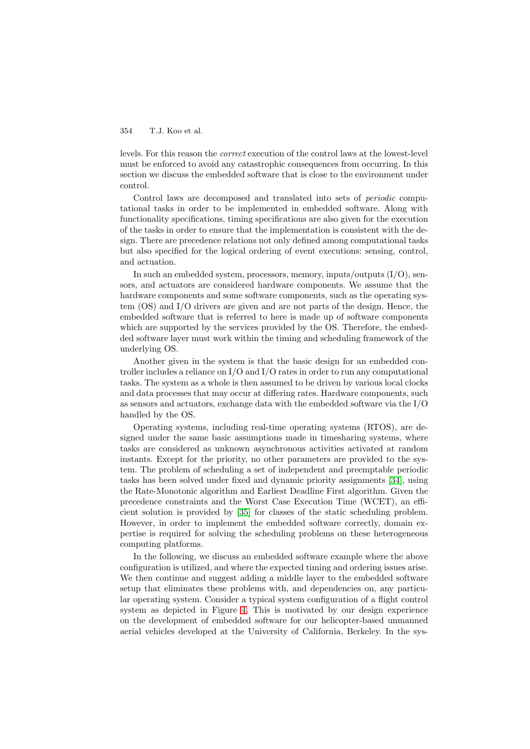levels. For this reason the correct execution of the control laws at the lowest-level must be enforced to avoid any catastrophic consequences from occurring. In this section we discuss the embedded software that is close to the environment under control.

Control laws are decomposed and translated into sets of periodic computational tasks in order to be implemented in embedded software. Along with functionality specifications, timing specifications are also given for the execution of the tasks in order to ensure that the implementation is consistent with the design. There are precedence relations not only defined among computational tasks but also specified for the logical ordering of event executions: sensing, control, and actuation.

In such an embedded system, processors, memory, inputs/outputs  $(I/O)$ , sensors, and actuators are considered hardware components. We assume that the hardware components and some software components, such as the operating system (OS) and I/O drivers are given and are not parts of the design. Hence, the embedded software that is referred to here is made up of software components which are supported by the services provided by the OS. Therefore, the embedded software layer must work within the timing and scheduling framework of the underlying OS.

Another given in the system is that the basic design for an embedded controller includes a reliance on I/O and I/O rates in order to run any computational tasks. The system as a whole is then assumed to be driven by various local clocks and data processes that may occur at differing rates. Hardware components, such as sensors and actuators, exchange data with the embedded software via the I/O handled by the OS.

Operating systems, including real-time operating systems (RTOS), are designed under the same basic assumptions made in timesharing systems, where tasks are considered as unknown asynchronous activities activated at random instants. Except for the priority, no other parameters are provided to the system. The problem of scheduling a set of independent and preemptable periodic tasks has been solved under fixed and dynamic priority assignments [\[34\]](#page-16-0), using the Rate-Monotonic algorithm and Earliest Deadline First algorithm. Given the precedence constraints and the Worst Case Execution Time (WCET), an efficient solution is provided by [\[35\]](#page-16-0) for classes of the static scheduling problem. However, in order to implement the embedded software correctly, domain expertise is required for solving the scheduling problems on these heterogeneous computing platforms.

In the following, we discuss an embedded software example where the above configuration is utilized, and where the expected timing and ordering issues arise. We then continue and suggest adding a middle layer to the embedded software setup that eliminates these problems with, and dependencies on, any particular operating system. Consider a typical system configuration of a flight control system as depicted in Figure [4.](#page-11-0) This is motivated by our design experience on the development of embedded software for our helicopter-based unmanned aerial vehicles developed at the University of California, Berkeley. In the sys-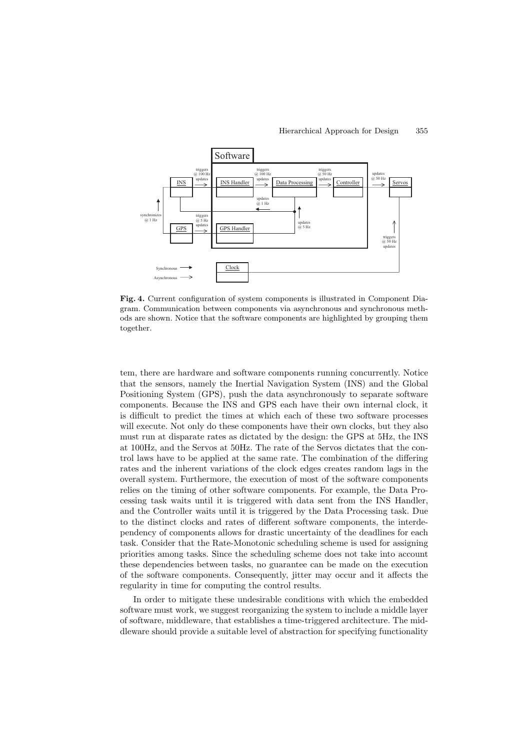<span id="page-11-0"></span>

**Fig. 4.** Current configuration of system components is illustrated in Component Diagram. Communication between components via asynchronous and synchronous methods are shown. Notice that the software components are highlighted by grouping them together.

tem, there are hardware and software components running concurrently. Notice that the sensors, namely the Inertial Navigation System (INS) and the Global Positioning System (GPS), push the data asynchronously to separate software components. Because the INS and GPS each have their own internal clock, it is difficult to predict the times at which each of these two software processes will execute. Not only do these components have their own clocks, but they also must run at disparate rates as dictated by the design: the GPS at 5Hz, the INS at 100Hz, and the Servos at 50Hz. The rate of the Servos dictates that the control laws have to be applied at the same rate. The combination of the differing rates and the inherent variations of the clock edges creates random lags in the overall system. Furthermore, the execution of most of the software components relies on the timing of other software components. For example, the Data Processing task waits until it is triggered with data sent from the INS Handler, and the Controller waits until it is triggered by the Data Processing task. Due to the distinct clocks and rates of different software components, the interdependency of components allows for drastic uncertainty of the deadlines for each task. Consider that the Rate-Monotonic scheduling scheme is used for assigning priorities among tasks. Since the scheduling scheme does not take into account these dependencies between tasks, no guarantee can be made on the execution of the software components. Consequently, jitter may occur and it affects the regularity in time for computing the control results.

In order to mitigate these undesirable conditions with which the embedded software must work, we suggest reorganizing the system to include a middle layer of software, middleware, that establishes a time-triggered architecture. The middleware should provide a suitable level of abstraction for specifying functionality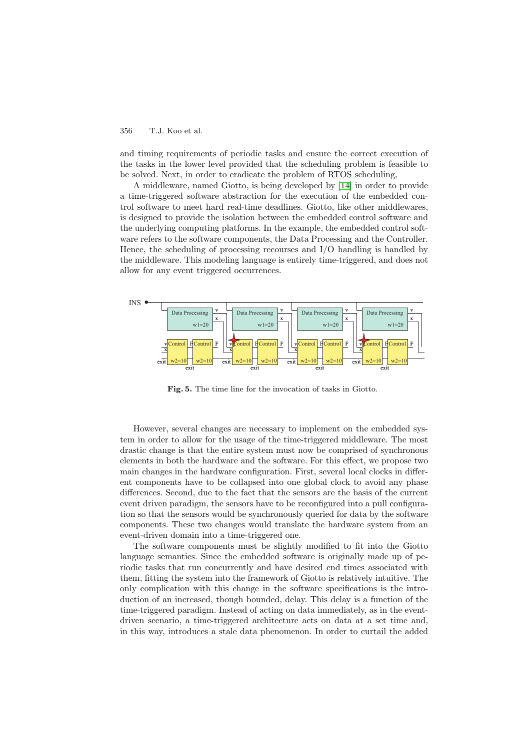<span id="page-12-0"></span>and timing requirements of periodic tasks and ensure the correct execution of the tasks in the lower level provided that the scheduling problem is feasible to be solved. Next, in order to eradicate the problem of RTOS scheduling,

Amiddleware, named Giotto, is being developed by [\[14\]](#page-15-0) in order to provide a time-triggered software abstraction for the execution of the embedded control software to meet hard real-time deadlines. Giotto, like other middlewares, is designed to provide the isolation between the embedded control software and the underlying computing platforms. In the example, the embedded control software refers to the software components, the Data Processing and the Controller. Hence, the scheduling of processing recourses and I/O handling is handled by the middleware. This modeling language is entirely time-triggered, and does not allow for any event triggered occurrences.



**Fig. 5.** The time line for the invocation of tasks in Giotto.

However, several changes are necessary to implement on the embedded system in order to allow for the usage of the time-triggered middleware. The most drastic change is that the entire system must now be comprised of synchronous elements in both the hardware and the software. For this effect, we propose two main changes in the hardware configuration. First, several local clocks in different components have to be collapsed into one global clock to avoid any phase differences. Second, due to the fact that the sensors are the basis of the current event driven paradigm, the sensors have to be reconfigured into a pull configuration so that the sensors would be synchronously queried for data by the software components. These two changes would translate the hardware system from an event-driven domain into a time-triggered one.

The software components must be slightly modified to fit into the Giotto language semantics. Since the embedded software is originally made up of periodic tasks that run concurrently and have desired end times associated with them, fitting the system into the framework of Giotto is relatively intuitive. The only complication with this change in the software specifications is the introduction of an increased, though bounded, delay. This delay is a function of the time-triggered paradigm. Instead of acting on data immediately, as in the eventdriven scenario, a time-triggered architecture acts on data at a set time and, in this way, introduces a stale data phenomenon. In order to curtail the added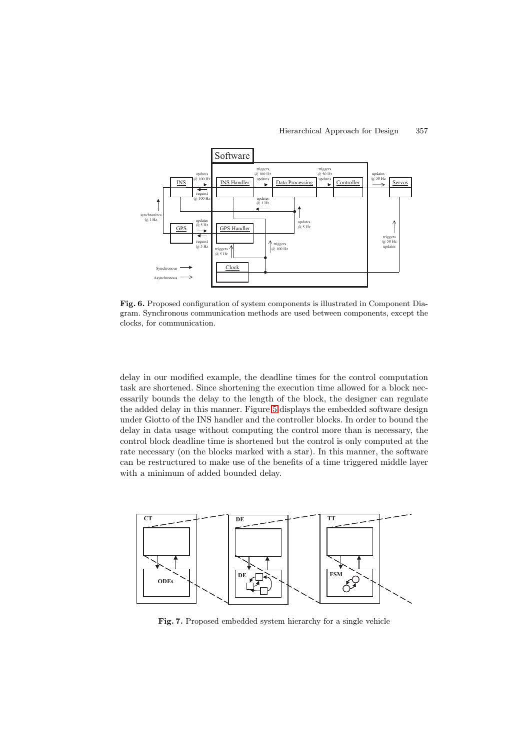<span id="page-13-0"></span>

**Fig. 6.** Proposed configuration of system components is illustrated in Component Diagram. Synchronous communication methods are used between components, except the clocks, for communication.

delay in our modified example, the deadline times for the control computation task are shortened. Since shortening the execution time allowed for a block necessarily bounds the delay to the length of the block, the designer can regulate the added delay in this manner. Figure [5](#page-12-0) displays the embedded software design under Giotto of the INS handler and the controller blocks. In order to bound the delay in data usage without computing the control more than is necessary, the control block deadline time is shortened but the control is only computed at the rate necessary (on the blocks marked with a star). In this manner, the software can be restructured to make use of the benefits of a time triggered middle layer with a minimum of added bounded delay.



**Fig. 7.** Proposed embedded system hierarchy for a single vehicle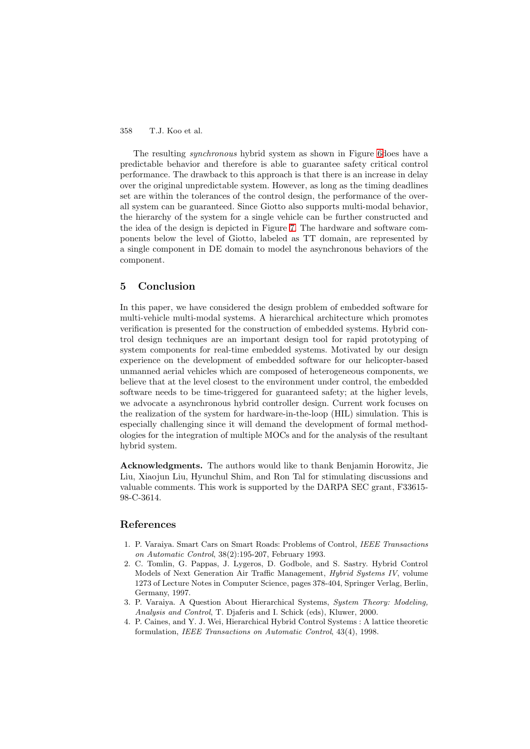<span id="page-14-0"></span>The resulting *synchronous* hybrid system as shown in Figure [6d](#page-13-0)oes have a predictable behavior and therefore is able to guarantee safety critical control performance. The drawback to this approach is that there is an increase in delay over the original unpredictable system. However, as long as the timing deadlines set are within the tolerances of the control design, the performance of the overall system can be guaranteed. Since Giotto also supports multi-modal behavior, the hierarchy of the system for a single vehicle can be further constructed and the idea of the design is depicted in Figure [7.](#page-13-0) The hardware and software components below the level of Giotto, labeled as TT domain, are represented by a single component in DE domain to model the asynchronous behaviors of the component.

## **5 Conclusion**

In this paper, we have considered the design problem of embedded software for multi-vehicle multi-modal systems. Ahierarchical architecture which promotes verification is presented for the construction of embedded systems. Hybrid control design techniques are an important design tool for rapid prototyping of system components for real-time embedded systems. Motivated by our design experience on the development of embedded software for our helicopter-based unmanned aerial vehicles which are composed of heterogeneous components, we believe that at the level closest to the environment under control, the embedded software needs to be time-triggered for guaranteed safety; at the higher levels, we advocate a asynchronous hybrid controller design. Current work focuses on the realization of the system for hardware-in-the-loop (HIL) simulation. This is especially challenging since it will demand the development of formal methodologies for the integration of multiple MOCs and for the analysis of the resultant hybrid system.

**Acknowledgments.** The authors would like to thank Benjamin Horowitz, Jie Liu, Xiaojun Liu, Hyunchul Shim, and Ron Tal for stimulating discussions and valuable comments. This work is supported by the DARPA SEC grant, F33615- 98-C-3614.

### **References**

- 1. P. Varaiya. Smart Cars on Smart Roads: Problems of Control, IEEE Transactions on Automatic Control, 38(2):195-207, February 1993.
- 2. C. Tomlin, G. Pappas, J. Lygeros, D. Godbole, and S. Sastry. Hybrid Control Models of Next Generation Air Traffic Management, Hybrid Systems IV, volume 1273 of Lecture Notes in Computer Science, pages 378-404, Springer Verlag, Berlin, Germany, 1997.
- 3. P. Varaiya. A Question About Hierarchical Systems, System Theory: Modeling, Analysis and Control, T. Djaferis and I. Schick (eds), Kluwer, 2000.
- 4. P. Caines, and Y. J. Wei, Hierarchical Hybrid Control Systems : A lattice theoretic formulation, IEEE Transactions on Automatic Control, 43(4), 1998.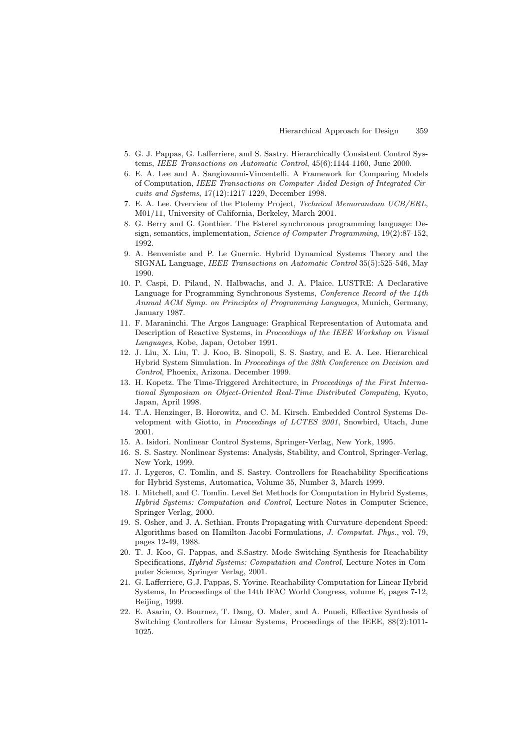- <span id="page-15-0"></span>5. G. J. Pappas, G. Lafferriere, and S. Sastry. Hierarchically Consistent Control Systems, IEEE Transactions on Automatic Control, 45(6):1144-1160, June 2000.
- 6. E. A. Lee and A. Sangiovanni-Vincentelli. A Framework for Comparing Models of Computation, IEEE Transactions on Computer-Aided Design of Integrated Circuits and Systems, 17(12):1217-1229, December 1998.
- 7. E. A. Lee. Overview of the Ptolemy Project, Technical Memorandum UCB/ERL, M01/11, University of California, Berkeley, March 2001.
- 8. G. Berry and G. Gonthier. The Esterel synchronous programming language: Design, semantics, implementation, *Science of Computer Programming*,  $19(2):87-152$ , 1992.
- 9. A. Benveniste and P. Le Guernic. Hybrid Dynamical Systems Theory and the SIGNAL Language, IEEE Transactions on Automatic Control 35(5):525-546, May 1990.
- 10. P. Caspi, D. Pilaud, N. Halbwachs, and J. A. Plaice. LUSTRE: A Declarative Language for Programming Synchronous Systems, Conference Record of the 14th Annual ACM Symp. on Principles of Programming Languages, Munich, Germany, January 1987.
- 11. F. Maraninchi. The Argos Language: Graphical Representation of Automata and Description of Reactive Systems, in Proceedings of the IEEE Workshop on Visual Languages, Kobe, Japan, October 1991.
- 12. J. Liu, X. Liu, T. J. Koo, B. Sinopoli, S. S. Sastry, and E. A. Lee. Hierarchical Hybrid System Simulation. In *Proceedings of the 38th Conference on Decision and* Control, Phoenix, Arizona. December 1999.
- 13. H. Kopetz. The Time-Triggered Architecture, in *Proceedings of the First Interna*tional Symposium on Object-Oriented Real-Time Distributed Computing, Kyoto, Japan, April 1998.
- 14. T.A. Henzinger, B. Horowitz, and C. M. Kirsch. Embedded Control Systems Development with Giotto, in Proceedings of LCTES 2001, Snowbird, Utach, June 2001.
- 15. A. Isidori. Nonlinear Control Systems, Springer-Verlag, New York, 1995.
- 16. S. S. Sastry. Nonlinear Systems: Analysis, Stability, and Control, Springer-Verlag, New York, 1999.
- 17. J. Lygeros, C. Tomlin, and S. Sastry. Controllers for Reachability Specifications for Hybrid Systems, Automatica, Volume 35, Number 3, March 1999.
- 18. I. Mitchell, and C. Tomlin. Level Set Methods for Computation in Hybrid Systems, Hybrid Systems: Computation and Control, Lecture Notes in Computer Science, Springer Verlag, 2000.
- 19. S. Osher, and J. A. Sethian. Fronts Propagating with Curvature-dependent Speed: Algorithms based on Hamilton-Jacobi Formulations, J. Computat. Phys., vol. 79, pages 12-49, 1988.
- 20. T. J. Koo, G. Pappas, and S.Sastry. Mode Switching Synthesis for Reachability Specifications, Hybrid Systems: Computation and Control, Lecture Notes in Computer Science, Springer Verlag, 2001.
- 21. G. Lafferriere, G.J. Pappas, S. Yovine. Reachability Computation for Linear Hybrid Systems, In Proceedings of the 14th IFAC World Congress, volume E, pages 7-12, Beijing, 1999.
- 22. E. Asarin, O. Bournez, T. Dang, O. Maler, and A. Pnueli, Effective Synthesis of Switching Controllers for Linear Systems, Proceedings of the IEEE, 88(2):1011- 1025.